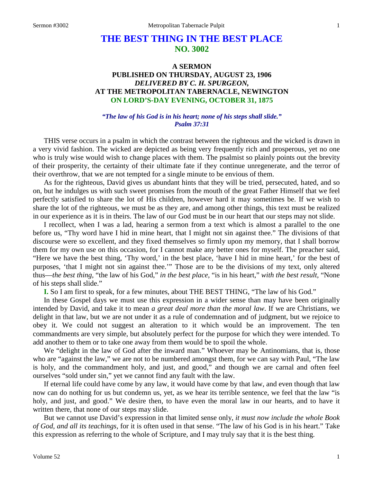# **THE BEST THING IN THE BEST PLACE NO. 3002**

# **A SERMON PUBLISHED ON THURSDAY, AUGUST 23, 1906** *DELIVERED BY C. H. SPURGEON,* **AT THE METROPOLITAN TABERNACLE, NEWINGTON ON LORD'S-DAY EVENING, OCTOBER 31, 1875**

#### *"The law of his God is in his heart; none of his steps shall slide." Psalm 37:31*

THIS verse occurs in a psalm in which the contrast between the righteous and the wicked is drawn in a very vivid fashion. The wicked are depicted as being very frequently rich and prosperous, yet no one who is truly wise would wish to change places with them. The psalmist so plainly points out the brevity of their prosperity, the certainty of their ultimate fate if they continue unregenerate, and the terror of their overthrow, that we are not tempted for a single minute to be envious of them.

As for the righteous, David gives us abundant hints that they will be tried, persecuted, hated, and so on, but he indulges us with such sweet promises from the mouth of the great Father Himself that we feel perfectly satisfied to share the lot of His children, however hard it may sometimes be. If we wish to share the lot of the righteous, we must be as they are, and among other things, this text must be realized in our experience as it is in theirs. The law of our God must be in our heart that our steps may not slide.

I recollect, when I was a lad, hearing a sermon from a text which is almost a parallel to the one before us, "Thy word have I hid in mine heart, that I might not sin against thee." The divisions of that discourse were so excellent, and they fixed themselves so firmly upon my memory, that I shall borrow them for my own use on this occasion, for I cannot make any better ones for myself. The preacher said, "Here we have the best thing, 'Thy word,' in the best place, 'have I hid in mine heart,' for the best of purposes, 'that I might not sin against thee.'" Those are to be the divisions of my text, only altered thus—*the best thing,* "the law of his God," *in the best place,* "is in his heart," *with the best result,* "None of his steps shall slide."

**I.** So I am first to speak, for a few minutes, about THE BEST THING, "The law of his God."

In these Gospel days we must use this expression in a wider sense than may have been originally intended by David, and take it to mean *a great deal more than the moral law*. If we are Christians, we delight in that law, but we are not under it as a rule of condemnation and of judgment, but we rejoice to obey it. We could not suggest an alteration to it which would be an improvement. The ten commandments are very simple, but absolutely perfect for the purpose for which they were intended. To add another to them or to take one away from them would be to spoil the whole.

We "delight in the law of God after the inward man." Whoever may be Antinomians, that is, those who are "against the law," we are not to be numbered amongst them, for we can say with Paul, "The law is holy, and the commandment holy, and just, and good," and though we are carnal and often feel ourselves "sold under sin," yet we cannot find any fault with the law.

If eternal life could have come by any law, it would have come by that law, and even though that law now can do nothing for us but condemn us, yet, as we hear its terrible sentence, we feel that the law "is holy, and just, and good." We desire then, to have even the moral law in our hearts, and to have it written there, that none of our steps may slide.

But we cannot use David's expression in that limited sense only, *it must now include the whole Book of God, and all its teachings,* for it is often used in that sense. "The law of his God is in his heart." Take this expression as referring to the whole of Scripture, and I may truly say that it is the best thing.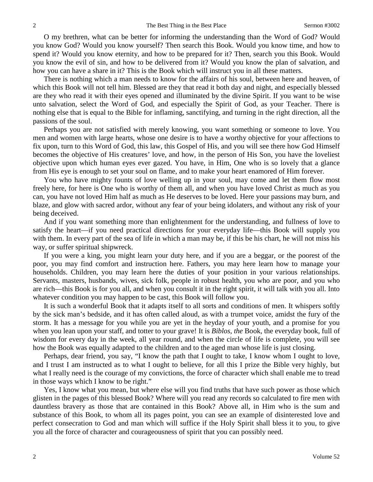O my brethren, what can be better for informing the understanding than the Word of God? Would you know God? Would you know yourself? Then search this Book. Would you know time, and how to spend it? Would you know eternity, and how to be prepared for it? Then, search you this Book. Would you know the evil of sin, and how to be delivered from it? Would you know the plan of salvation, and how you can have a share in it? This is the Book which will instruct you in all these matters.

There is nothing which a man needs to know for the affairs of his soul, between here and heaven, of which this Book will not tell him. Blessed are they that read it both day and night, and especially blessed are they who read it with their eyes opened and illuminated by the divine Spirit. If you want to be wise unto salvation, select the Word of God, and especially the Spirit of God, as your Teacher. There is nothing else that is equal to the Bible for inflaming, sanctifying, and turning in the right direction, all the passions of the soul.

Perhaps you are not satisfied with merely knowing, you want something or someone to love. You men and women with large hearts, whose one desire is to have a worthy objective for your affections to fix upon, turn to this Word of God, this law, this Gospel of His, and you will see there how God Himself becomes the objective of His creatures' love, and how, in the person of His Son, you have the loveliest objective upon which human eyes ever gazed. You have, in Him, One who is so lovely that a glance from His eye is enough to set your soul on flame, and to make your heart enamored of Him forever.

You who have mighty founts of love welling up in your soul, may come and let them flow most freely here, for here is One who is worthy of them all, and when you have loved Christ as much as you can, you have not loved Him half as much as He deserves to be loved. Here your passions may burn, and blaze, and glow with sacred ardor, without any fear of your being idolaters, and without any risk of your being deceived.

And if you want something more than enlightenment for the understanding, and fullness of love to satisfy the heart—if you need practical directions for your everyday life—this Book will supply you with them. In every part of the sea of life in which a man may be, if this be his chart, he will not miss his way, or suffer spiritual shipwreck.

If you were a king, you might learn your duty here, and if you are a beggar, or the poorest of the poor, you may find comfort and instruction here. Fathers, you may here learn how to manage your households. Children, you may learn here the duties of your position in your various relationships. Servants, masters, husbands, wives, sick folk, people in robust health, you who are poor, and you who are rich—this Book is for you all, and when you consult it in the right spirit, it will talk with you all. Into whatever condition you may happen to be cast, this Book will follow you.

It is such a wonderful Book that it adapts itself to all sorts and conditions of men. It whispers softly by the sick man's bedside, and it has often called aloud, as with a trumpet voice, amidst the fury of the storm. It has a message for you while you are yet in the heyday of your youth, and a promise for you when you lean upon your staff, and totter to your grave! It is *Biblos, the Book*, the everyday book, full of wisdom for every day in the week, all year round, and when the circle of life is complete, you will see how the Book was equally adapted to the children and to the aged man whose life is just closing.

Perhaps, dear friend, you say, "I know the path that I ought to take, I know whom I ought to love, and I trust I am instructed as to what I ought to believe, for all this I prize the Bible very highly, but what I really need is the courage of my convictions, the force of character which shall enable me to tread in those ways which I know to be right."

Yes, I know what you mean, but where else will you find truths that have such power as those which glisten in the pages of this blessed Book? Where will you read any records so calculated to fire men with dauntless bravery as those that are contained in this Book? Above all, in Him who is the sum and substance of this Book, to whom all its pages point, you can see an example of disinterested love and perfect consecration to God and man which will suffice if the Holy Spirit shall bless it to you, to give you all the force of character and courageousness of spirit that you can possibly need.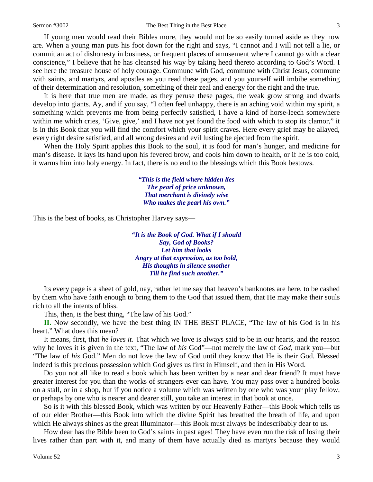If young men would read their Bibles more, they would not be so easily turned aside as they now are. When a young man puts his foot down for the right and says, "I cannot and I will not tell a lie, or commit an act of dishonesty in business, or frequent places of amusement where I cannot go with a clear conscience," I believe that he has cleansed his way by taking heed thereto according to God's Word. I see here the treasure house of holy courage. Commune with God, commune with Christ Jesus, commune with saints, and martyrs, and apostles as you read these pages, and you yourself will imbibe something of their determination and resolution, something of their zeal and energy for the right and the true.

It is here that true men are made, as they peruse these pages, the weak grow strong and dwarfs develop into giants. Ay, and if you say, "I often feel unhappy, there is an aching void within my spirit, a something which prevents me from being perfectly satisfied, I have a kind of horse-leech somewhere within me which cries, 'Give, give,' and I have not yet found the food with which to stop its clamor," it is in this Book that you will find the comfort which your spirit craves. Here every grief may be allayed, every right desire satisfied, and all wrong desires and evil lusting be ejected from the spirit.

When the Holy Spirit applies this Book to the soul, it is food for man's hunger, and medicine for man's disease. It lays its hand upon his fevered brow, and cools him down to health, or if he is too cold, it warms him into holy energy. In fact, there is no end to the blessings which this Book bestows.

> *"This is the field where hidden lies The pearl of price unknown, That merchant is divinely wise Who makes the pearl his own."*

This is the best of books, as Christopher Harvey says—

*"It is the Book of God. What if I should Say, God of Books? Let him that looks Angry at that expression, as too bold, His thoughts in silence smother Till he find such another."*

Its every page is a sheet of gold, nay, rather let me say that heaven's banknotes are here, to be cashed by them who have faith enough to bring them to the God that issued them, that He may make their souls rich to all the intents of bliss.

This, then, is the best thing, "The law of his God."

**II.** Now secondly, we have the best thing IN THE BEST PLACE, "The law of his God is in his heart." What does this mean?

It means, first, that *he loves it*. That which we love is always said to be in our hearts, and the reason why he loves it is given in the text, "The law of *his* God"—not merely the law of *God,* mark you—but "The law of *his* God." Men do not love the law of God until they know that He is their God. Blessed indeed is this precious possession which God gives us first in Himself, and then in His Word.

Do you not all like to read a book which has been written by a near and dear friend? It must have greater interest for you than the works of strangers ever can have. You may pass over a hundred books on a stall, or in a shop, but if you notice a volume which was written by one who was your play fellow, or perhaps by one who is nearer and dearer still, you take an interest in that book at once.

So is it with this blessed Book, which was written by our Heavenly Father—this Book which tells us of our elder Brother—this Book into which the divine Spirit has breathed the breath of life, and upon which He always shines as the great Illuminator—this Book must always be indescribably dear to us.

How dear has the Bible been to God's saints in past ages! They have even run the risk of losing their lives rather than part with it, and many of them have actually died as martyrs because they would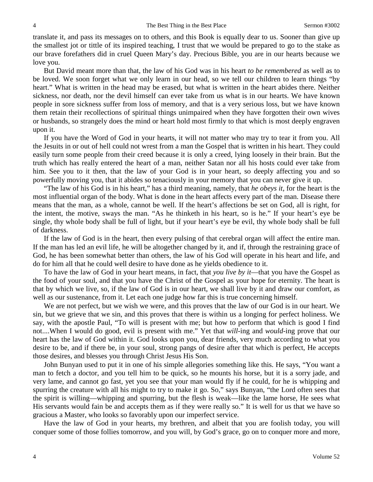translate it, and pass its messages on to others, and this Book is equally dear to us. Sooner than give up the smallest jot or tittle of its inspired teaching, I trust that we would be prepared to go to the stake as our brave forefathers did in cruel Queen Mary's day. Precious Bible, you are in our hearts because we love you.

But David meant more than that, the law of his God was in his heart *to be remembered* as well as to be loved. We soon forget what we only learn in our head, so we tell our children to learn things "by heart." What is written in the head may be erased, but what is written in the heart abides there. Neither sickness, nor death, nor the devil himself can ever take from us what is in our hearts. We have known people in sore sickness suffer from loss of memory, and that is a very serious loss, but we have known them retain their recollections of spiritual things unimpaired when they have forgotten their own wives or husbands, so strangely does the mind or heart hold most firmly to that which is most deeply engraven upon it.

If you have the Word of God in your hearts, it will not matter who may try to tear it from you. All the Jesuits in or out of hell could not wrest from a man the Gospel that is written in his heart. They could easily turn some people from their creed because it is only a creed, lying loosely in their brain. But the truth which has really entered the heart of a man, neither Satan nor all his hosts could ever take from him. See you to it then, that the law of your God is in your heart, so deeply affecting you and so powerfully moving you, that it abides so tenaciously in your memory that you can never give it up.

"The law of his God is in his heart," has a third meaning, namely, that *he obeys it,* for the heart is the most influential organ of the body. What is done in the heart affects every part of the man. Disease there means that the man, as a whole, cannot be well. If the heart's affections be set on God, all is right, for the intent, the motive, sways the man. "As he thinketh in his heart, so is he." If your heart's eye be single, thy whole body shall be full of light, but if your heart's eye be evil, thy whole body shall be full of darkness.

If the law of God is in the heart, then every pulsing of that cerebral organ will affect the entire man. If the man has led an evil life, he will be altogether changed by it, and if, through the restraining grace of God, he has been somewhat better than others, the law of his God will operate in his heart and life, and do for him all that he could well desire to have done as he yields obedience to it.

To have the law of God in your heart means, in fact, that *you live by it*—that you have the Gospel as the food of your soul, and that you have the Christ of the Gospel as your hope for eternity. The heart is that by which we live, so, if the law of God is in our heart, we shall live by it and draw our comfort, as well as our sustenance, from it. Let each one judge how far this is true concerning himself.

We are not perfect, but we wish we were, and this proves that the law of our God is in our heart. We sin, but we grieve that we sin, and this proves that there is within us a longing for perfect holiness. We say, with the apostle Paul, "To will is present with me; but how to perform that which is good I find not....When I would do good, evil is present with me." Yet that *will-*ing and *would-*ing prove that our heart has the law of God within it. God looks upon you, dear friends, very much according to what you desire to be, and if there be, in your soul, strong pangs of desire after that which is perfect, He accepts those desires, and blesses you through Christ Jesus His Son.

John Bunyan used to put it in one of his simple allegories something like this. He says, "You want a man to fetch a doctor, and you tell him to be quick, so he mounts his horse, but it is a sorry jade, and very lame, and cannot go fast, yet you see that your man would fly if he could, for he is whipping and spurring the creature with all his might to try to make it go. So," says Bunyan, "the Lord often sees that the spirit is willing—whipping and spurring, but the flesh is weak—like the lame horse, He sees what His servants would fain be and accepts them as if they were really so." It is well for us that we have so gracious a Master, who looks so favorably upon our imperfect service.

Have the law of God in your hearts, my brethren, and albeit that you are foolish today, you will conquer some of those follies tomorrow, and you will, by God's grace, go on to conquer more and more,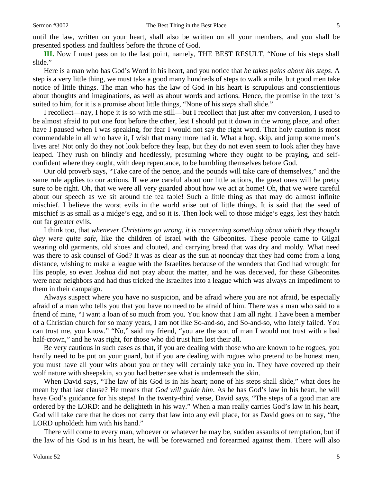until the law, written on your heart, shall also be written on all your members, and you shall be presented spotless and faultless before the throne of God.

**III.** Now I must pass on to the last point, namely, THE BEST RESULT, "None of his steps shall slide."

Here is a man who has God's Word in his heart, and you notice that *he takes pains about his steps*. A step is a very little thing, we must take a good many hundreds of steps to walk a mile, but good men take notice of little things. The man who has the law of God in his heart is scrupulous and conscientious about thoughts and imaginations, as well as about words and actions. Hence, the promise in the text is suited to him, for it is a promise about little things, "None of his *steps* shall slide."

I recollect—nay, I hope it is so with me still—but I recollect that just after my conversion, I used to be almost afraid to put one foot before the other, lest I should put it down in the wrong place, and often have I paused when I was speaking, for fear I would not say the right word. That holy caution is most commendable in all who have it, I wish that many more had it. What a hop, skip, and jump some men's lives are! Not only do they not look before they leap, but they do not even seem to look after they have leaped. They rush on blindly and heedlessly, presuming where they ought to be praying, and selfconfident where they ought, with deep repentance, to be humbling themselves before God.

Our old proverb says, "Take care of the pence, and the pounds will take care of themselves," and the same rule applies to our actions. If we are careful about our little actions, the great ones will be pretty sure to be right. Oh, that we were all very guarded about how we act at home! Oh, that we were careful about our speech as we sit around the tea table! Such a little thing as that may do almost infinite mischief. I believe the worst evils in the world arise out of little things. It is said that the seed of mischief is as small as a midge's egg, and so it is. Then look well to those midge's eggs, lest they hatch out far greater evils.

I think too, that *whenever Christians go wrong, it is concerning something about which they thought they were quite safe,* like the children of Israel with the Gibeonites. These people came to Gilgal wearing old garments, old shoes and clouted, and carrying bread that was dry and moldy. What need was there to ask counsel of God? It was as clear as the sun at noonday that they had come from a long distance, wishing to make a league with the Israelites because of the wonders that God had wrought for His people, so even Joshua did not pray about the matter, and he was deceived, for these Gibeonites were near neighbors and had thus tricked the Israelites into a league which was always an impediment to them in their campaign.

Always suspect where you have no suspicion, and be afraid where you are not afraid, be especially afraid of a man who tells you that you have no need to be afraid of him. There was a man who said to a friend of mine, "I want a loan of so much from you. You know that I am all right. I have been a member of a Christian church for so many years, I am not like So-and-so, and So-and-so, who lately failed. You can trust me, you know." "No," said my friend, "you are the sort of man I would not trust with a bad half-crown," and he was right, for those who did trust him lost their all.

Be very cautious in such cases as that, if you are dealing with those who are known to be rogues, you hardly need to be put on your guard, but if you are dealing with rogues who pretend to be honest men, you must have all your wits about you or they will certainly take you in. They have covered up their wolf nature with sheepskin, so you had better see what is underneath the skin.

When David says, "The law of his God is in his heart; none of his steps shall slide," what does he mean by that last clause? He means that *God will guide him*. As he has God's law in his heart, he will have God's guidance for his steps! In the twenty-third verse, David says, "The steps of a good man are ordered by the LORD: and he delighteth in his way." When a man really carries God's law in his heart, God will take care that he does not carry that law into any evil place, for as David goes on to say, "the LORD upholdeth him with his hand."

There will come to every man, whoever or whatever he may be, sudden assaults of temptation, but if the law of his God is in his heart, he will be forewarned and forearmed against them. There will also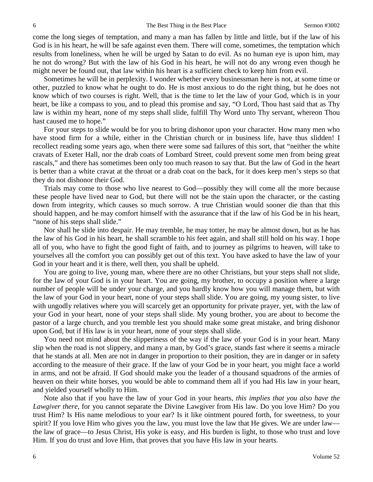come the long sieges of temptation, and many a man has fallen by little and little, but if the law of his God is in his heart, he will be safe against even them. There will come, sometimes, the temptation which results from loneliness, when he will be urged by Satan to do evil. As no human eye is upon him, may he not do wrong? But with the law of his God in his heart, he will not do any wrong even though he might never be found out, that law within his heart is a sufficient check to keep him from evil.

Sometimes he will be in perplexity. I wonder whether every businessman here is not, at some time or other, puzzled to know what he ought to do. He is most anxious to do the right thing, but he does not know which of two courses is right. Well, that is the time to let the law of your God, which is in your heart, be like a compass to you, and to plead this promise and say, "O Lord, Thou hast said that as Thy law is within my heart, none of my steps shall slide, fulfill Thy Word unto Thy servant, whereon Thou hast caused me to hope."

For your steps to slide would be for you to bring dishonor upon your character. How many men who have stood firm for a while, either in the Christian church or in business life, have thus slidden! I recollect reading some years ago, when there were some sad failures of this sort, that "neither the white cravats of Exeter Hall, nor the drab coats of Lombard Street, could prevent some men from being great rascals," and there has sometimes been only too much reason to say that. But the law of God in the heart is better than a white cravat at the throat or a drab coat on the back, for it does keep men's steps so that they do not dishonor their God.

Trials may come to those who live nearest to God—possibly they will come all the more because these people have lived near to God, but there will not be the stain upon the character, or the casting down from integrity, which causes so much sorrow. A true Christian would sooner die than that this should happen, and he may comfort himself with the assurance that if the law of his God be in his heart, "none of his steps shall slide."

Nor shall he slide into despair. He may tremble, he may totter, he may be almost down, but as he has the law of his God in his heart, he shall scramble to his feet again, and shall still hold on his way. I hope all of you, who have to fight the good fight of faith, and to journey as pilgrims to heaven, will take to yourselves all the comfort you can possibly get out of this text. You have asked to have the law of your God in your heart and it is there, well then, you shall be upheld.

You are going to live, young man, where there are no other Christians, but your steps shall not slide, for the law of your God is in your heart. You are going, my brother, to occupy a position where a large number of people will be under your charge, and you hardly know how you will manage them, but with the law of your God in your heart, none of your steps shall slide. You are going, my young sister, to live with ungodly relatives where you will scarcely get an opportunity for private prayer, yet, with the law of your God in your heart, none of your steps shall slide. My young brother, you are about to become the pastor of a large church, and you tremble lest you should make some great mistake, and bring dishonor upon God, but if His law is in your heart, none of your steps shall slide.

You need not mind about the slipperiness of the way if the law of your God is in your heart. Many slip when the road is not slippery, and many a man, by God's grace, stands fast where it seems a miracle that he stands at all. Men are not in danger in proportion to their position, they are in danger or in safety according to the measure of their grace. If the law of your God be in your heart, you might face a world in arms, and not be afraid. If God should make you the leader of a thousand squadrons of the armies of heaven on their white horses, you would be able to command them all if you had His law in your heart, and yielded yourself wholly to Him.

Note also that if you have the law of your God in your hearts, *this implies that you also have the Lawgiver there*, for you cannot separate the Divine Lawgiver from His law. Do you love Him? Do you trust Him? Is His name melodious to your ear? Is it like ointment poured forth, for sweetness, to your spirit? If you love Him who gives you the law, you must love the law that He gives. We are under law the law of grace—to Jesus Christ, His yoke is easy, and His burden is light, to those who trust and love Him. If you do trust and love Him, that proves that you have His law in your hearts.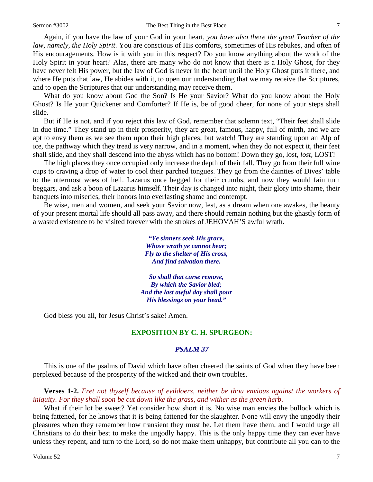Again, if you have the law of your God in your heart, *you have also there the great Teacher of the law, namely, the Holy Spirit*. You are conscious of His comforts, sometimes of His rebukes, and often of His encouragements. How is it with you in this respect? Do you know anything about the work of the Holy Spirit in your heart? Alas, there are many who do not know that there is a Holy Ghost, for they have never felt His power, but the law of God is never in the heart until the Holy Ghost puts it there, and where He puts that law, He abides with it, to open our understanding that we may receive the Scriptures, and to open the Scriptures that our understanding may receive them.

What do you know about God the Son? Is He your Savior? What do you know about the Holy Ghost? Is He your Quickener and Comforter? If He is, be of good cheer, for none of your steps shall slide.

But if He is not, and if you reject this law of God, remember that solemn text, "Their feet shall slide in due time." They stand up in their prosperity, they are great, famous, happy, full of mirth, and we are apt to envy them as we see them upon their high places, but watch! They are standing upon an Alp of ice, the pathway which they tread is very narrow, and in a moment, when they do not expect it, their feet shall slide, and they shall descend into the abyss which has no bottom! Down they go, lost, *lost,* LOST!

The high places they once occupied only increase the depth of their fall. They go from their full wine cups to craving a drop of water to cool their parched tongues. They go from the dainties of Dives' table to the uttermost woes of hell. Lazarus once begged for their crumbs, and now they would fain turn beggars, and ask a boon of Lazarus himself. Their day is changed into night, their glory into shame, their banquets into miseries, their honors into everlasting shame and contempt.

Be wise, men and women, and seek your Savior now, lest, as a dream when one awakes, the beauty of your present mortal life should all pass away, and there should remain nothing but the ghastly form of a wasted existence to be visited forever with the strokes of JEHOVAH'S awful wrath.

> *"Ye sinners seek His grace, Whose wrath ye cannot bear; Fly to the shelter of His cross, And find salvation there.*

*So shall that curse remove, By which the Savior bled; And the last awful day shall pour His blessings on your head."*

God bless you all, for Jesus Christ's sake! Amen.

## **EXPOSITION BY C. H. SPURGEON:**

### *PSALM 37*

This is one of the psalms of David which have often cheered the saints of God when they have been perplexed because of the prosperity of the wicked and their own troubles.

**Verses 1-2.** *Fret not thyself because of evildoers, neither be thou envious against the workers of iniquity. For they shall soon be cut down like the grass, and wither as the green herb*.

What if their lot be sweet? Yet consider how short it is. No wise man envies the bullock which is being fattened, for he knows that it is being fattened for the slaughter. None will envy the ungodly their pleasures when they remember how transient they must be. Let them have them, and I would urge all Christians to do their best to make the ungodly happy. This is the only happy time they can ever have unless they repent, and turn to the Lord, so do not make them unhappy, but contribute all you can to the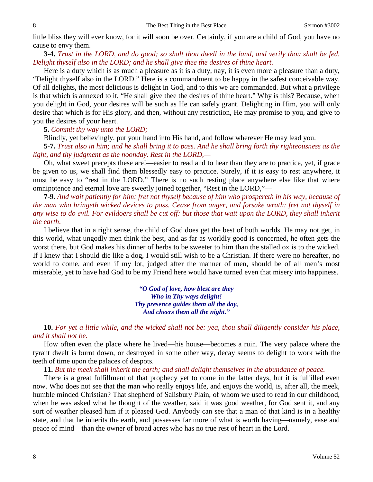little bliss they will ever know, for it will soon be over. Certainly, if you are a child of God, you have no cause to envy them.

**3-4.** *Trust in the LORD, and do good; so shalt thou dwell in the land, and verily thou shalt be fed. Delight thyself also in the LORD; and he shall give thee the desires of thine heart*.

Here is a duty which is as much a pleasure as it is a duty, nay, it is even more a pleasure than a duty, "Delight thyself also in the LORD." Here is a commandment to be happy in the safest conceivable way. Of all delights, the most delicious is delight in God, and to this we are commanded. But what a privilege is that which is annexed to it, "He shall give thee the desires of thine heart." Why is this? Because, when you delight in God, your desires will be such as He can safely grant. Delighting in Him, you will only desire that which is for His glory, and then, without any restriction, He may promise to you, and give to you the desires of your heart.

**5.** *Commit thy way unto the LORD;*

Blindly, yet believingly, put your hand into His hand, and follow wherever He may lead you.

**5-7.** *Trust also in him; and he shall bring it to pass. And he shall bring forth thy righteousness as the light, and thy judgment as the noonday. Rest in the LORD,—*

Oh, what sweet precepts these are!—easier to read and to hear than they are to practice, yet, if grace be given to us, we shall find them blessedly easy to practice. Surely, if it is easy to rest anywhere, it must be easy to "rest in the LORD." There is no such resting place anywhere else like that where omnipotence and eternal love are sweetly joined together, "Rest in the LORD,"—

**7-9.** *And wait patiently for him: fret not thyself because of him who prospereth in his way, because of the man who bringeth wicked devices to pass. Cease from anger, and forsake wrath: fret not thyself in any wise to do evil. For evildoers shall be cut off: but those that wait upon the LORD, they shall inherit the earth*.

I believe that in a right sense, the child of God does get the best of both worlds. He may not get, in this world, what ungodly men think the best, and as far as worldly good is concerned, he often gets the worst there, but God makes his dinner of herbs to be sweeter to him than the stalled ox is to the wicked. If I knew that I should die like a dog, I would still wish to be a Christian. If there were no hereafter, no world to come, and even if my lot, judged after the manner of men, should be of all men's most miserable, yet to have had God to be my Friend here would have turned even that misery into happiness.

> *"O God of love, how blest are they Who in Thy ways delight! Thy presence guides them all the day, And cheers them all the night."*

**10.** *For yet a little while, and the wicked shall not be: yea, thou shall diligently consider his place, and it shall not be.*

How often even the place where he lived—his house—becomes a ruin. The very palace where the tyrant dwelt is burnt down, or destroyed in some other way, decay seems to delight to work with the teeth of time upon the palaces of despots.

**11.** *But the meek shall inherit the earth; and shall delight themselves in the abundance of peace.*

There is a great fulfillment of that prophecy yet to come in the latter days, but it is fulfilled even now. Who does not see that the man who really enjoys life, and enjoys the world, is, after all, the meek, humble minded Christian? That shepherd of Salisbury Plain, of whom we used to read in our childhood, when he was asked what he thought of the weather, said it was good weather, for God sent it, and any sort of weather pleased him if it pleased God. Anybody can see that a man of that kind is in a healthy state, and that he inherits the earth, and possesses far more of what is worth having—namely, ease and peace of mind—than the owner of broad acres who has no true rest of heart in the Lord.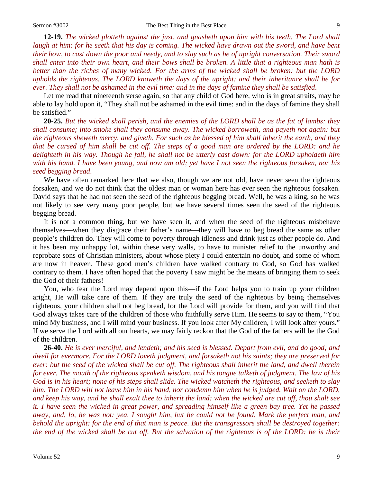**12-19.** *The wicked plotteth against the just, and gnasheth upon him with his teeth. The Lord shall laugh at him: for he seeth that his day is coming. The wicked have drawn out the sword, and have bent their bow, to cast down the poor and needy, and to slay such as be of upright conversation. Their sword shall enter into their own heart, and their bows shall be broken. A little that a righteous man hath is better than the riches of many wicked. For the arms of the wicked shall be broken: but the LORD upholds the righteous. The LORD knoweth the days of the upright: and their inheritance shall be for ever. They shall not be ashamed in the evil time: and in the days of famine they shall be satisfied*.

Let me read that nineteenth verse again, so that any child of God here, who is in great straits, may be able to lay hold upon it, "They shall not be ashamed in the evil time: and in the days of famine they shall be satisfied."

**20-25.** *But the wicked shall perish, and the enemies of the LORD shall be as the fat of lambs: they shall consume; into smoke shall they consume away. The wicked borroweth, and payeth not again: but the righteous sheweth mercy, and giveth. For such as be blessed of him shall inherit the earth, and they that be cursed of him shall be cut off. The steps of a good man are ordered by the LORD: and he delighteth in his way. Though he fall, he shall not be utterly cast down: for the LORD upholdeth him with his hand. I have been young, and now am old; yet have I not seen the righteous forsaken, nor his seed begging bread*.

We have often remarked here that we also, though we are not old, have never seen the righteous forsaken, and we do not think that the oldest man or woman here has ever seen the righteous forsaken. David says that he had not seen the seed of the righteous begging bread. Well, he was a king, so he was not likely to see very many poor people, but we have several times seen the seed of the righteous begging bread.

It is not a common thing, but we have seen it, and when the seed of the righteous misbehave themselves—when they disgrace their father's name—they will have to beg bread the same as other people's children do. They will come to poverty through idleness and drink just as other people do. And it has been my unhappy lot, within these very walls, to have to minister relief to the unworthy and reprobate sons of Christian ministers, about whose piety I could entertain no doubt, and some of whom are now in heaven. These good men's children have walked contrary to God, so God has walked contrary to them. I have often hoped that the poverty I saw might be the means of bringing them to seek the God of their fathers!

You, who fear the Lord may depend upon this—if the Lord helps you to train up your children aright, He will take care of them. If they are truly the seed of the righteous by being themselves righteous, your children shall not beg bread, for the Lord will provide for them, and you will find that God always takes care of the children of those who faithfully serve Him. He seems to say to them, "You mind My business, and I will mind your business. If you look after My children, I will look after yours." If we serve the Lord with all our hearts, we may fairly reckon that the God of the fathers will be the God of the children.

**26-40.** *He is ever merciful, and lendeth; and his seed is blessed. Depart from evil, and do good; and dwell for evermore. For the LORD loveth judgment, and forsaketh not his saints; they are preserved for ever: but the seed of the wicked shall be cut off. The righteous shall inherit the land, and dwell therein for ever. The mouth of the righteous speaketh wisdom, and his tongue talketh of judgment. The law of his God is in his heart; none of his steps shall slide. The wicked watcheth the righteous, and seeketh to slay him. The LORD will not leave him in his hand, nor condemn him when he is judged. Wait on the LORD, and keep his way, and he shall exalt thee to inherit the land: when the wicked are cut off, thou shalt see it. I have seen the wicked in great power, and spreading himself like a green bay tree. Yet he passed away, and, lo, he was not: yea, I sought him, but he could not be found. Mark the perfect man, and behold the upright: for the end of that man is peace. But the transgressors shall be destroyed together: the end of the wicked shall be cut off. But the salvation of the righteous is of the LORD: he is their*